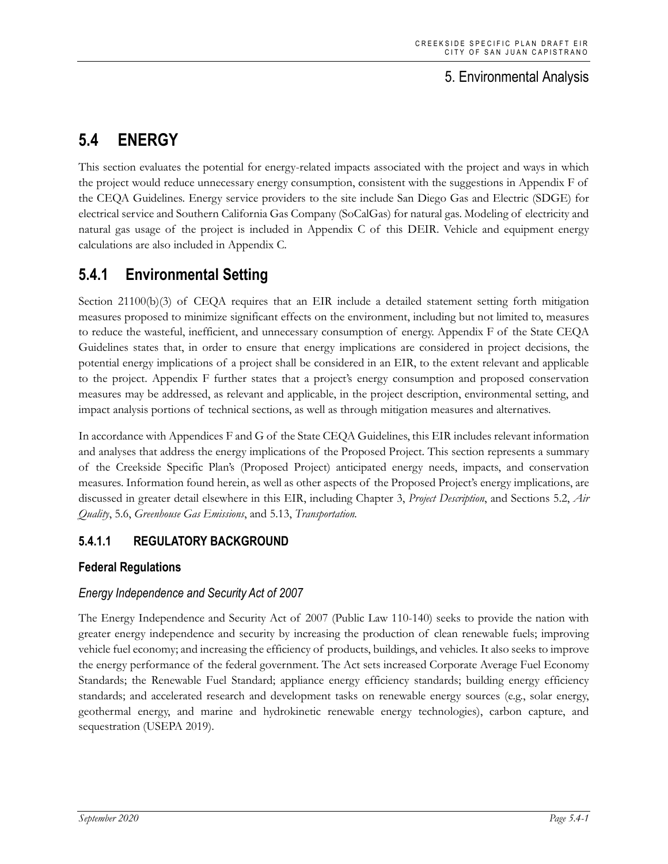# 5. Environmental Analysis

# **5.4 ENERGY**

This section evaluates the potential for energy-related impacts associated with the project and ways in which the project would reduce unnecessary energy consumption, consistent with the suggestions in Appendix F of the CEQA Guidelines. Energy service providers to the site include San Diego Gas and Electric (SDGE) for electrical service and Southern California Gas Company (SoCalGas) for natural gas. Modeling of electricity and natural gas usage of the project is included in Appendix C of this DEIR. Vehicle and equipment energy calculations are also included in Appendix C.

# **5.4.1 Environmental Setting**

Section 21100(b)(3) of CEQA requires that an EIR include a detailed statement setting forth mitigation measures proposed to minimize significant effects on the environment, including but not limited to, measures to reduce the wasteful, inefficient, and unnecessary consumption of energy. Appendix F of the State CEQA Guidelines states that, in order to ensure that energy implications are considered in project decisions, the potential energy implications of a project shall be considered in an EIR, to the extent relevant and applicable to the project. Appendix F further states that a project's energy consumption and proposed conservation measures may be addressed, as relevant and applicable, in the project description, environmental setting, and impact analysis portions of technical sections, as well as through mitigation measures and alternatives.

In accordance with Appendices F and G of the State CEQA Guidelines, this EIR includes relevant information and analyses that address the energy implications of the Proposed Project. This section represents a summary of the Creekside Specific Plan's (Proposed Project) anticipated energy needs, impacts, and conservation measures. Information found herein, as well as other aspects of the Proposed Project's energy implications, are discussed in greater detail elsewhere in this EIR, including Chapter 3, *Project Description*, and Sections 5.2, *Air Quality*, 5.6, *Greenhouse Gas Emissions*, and 5.13, *Transportation.*

# **5.4.1.1 REGULATORY BACKGROUND**

# **Federal Regulations**

# *Energy Independence and Security Act of 2007*

The Energy Independence and Security Act of 2007 (Public Law 110-140) seeks to provide the nation with greater energy independence and security by increasing the production of clean renewable fuels; improving vehicle fuel economy; and increasing the efficiency of products, buildings, and vehicles. It also seeks to improve the energy performance of the federal government. The Act sets increased Corporate Average Fuel Economy Standards; the Renewable Fuel Standard; appliance energy efficiency standards; building energy efficiency standards; and accelerated research and development tasks on renewable energy sources (e.g., solar energy, geothermal energy, and marine and hydrokinetic renewable energy technologies), carbon capture, and sequestration (USEPA 2019).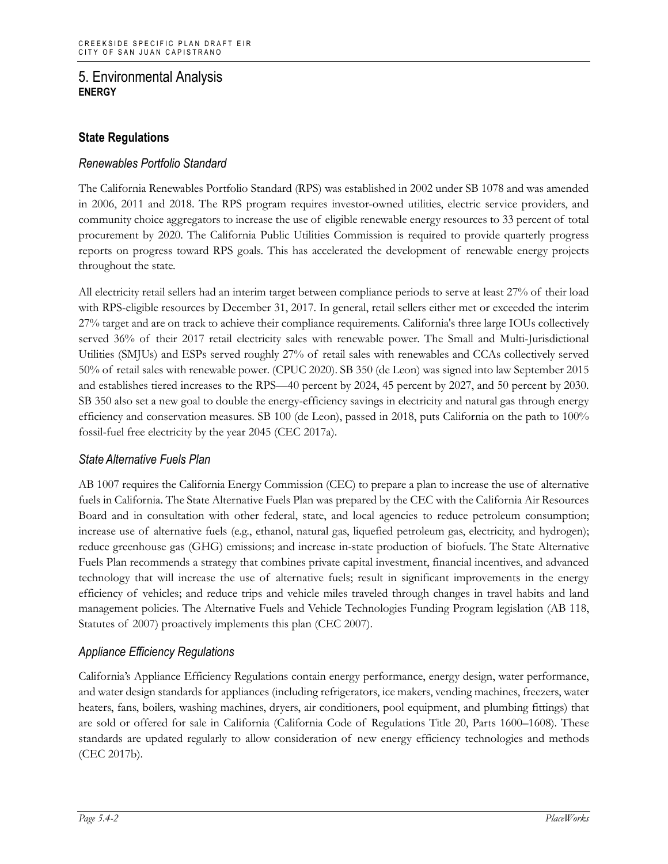# **State Regulations**

## *Renewables Portfolio Standard*

The California Renewables Portfolio Standard (RPS) was established in 2002 under SB 1078 and was amended in 2006, 2011 and 2018. The RPS program requires investor-owned utilities, electric service providers, and community choice aggregators to increase the use of eligible renewable energy resources to 33 percent of total procurement by 2020. The California Public Utilities Commission is required to provide quarterly progress reports on progress toward RPS goals. This has accelerated the development of renewable energy projects throughout the state.

All electricity retail sellers had an interim target between compliance periods to serve at least 27% of their load with RPS-eligible resources by December 31, 2017. In general, retail sellers either met or exceeded the interim 27% target and are on track to achieve their compliance requirements. California's three large IOUs collectively served 36% of their 2017 retail electricity sales with renewable power. The Small and Multi-Jurisdictional Utilities (SMJUs) and ESPs served roughly 27% of retail sales with renewables and CCAs collectively served 50% of retail sales with renewable power. (CPUC 2020). SB 350 (de Leon) was signed into law September 2015 and establishes tiered increases to the RPS—40 percent by 2024, 45 percent by 2027, and 50 percent by 2030. SB 350 also set a new goal to double the energy-efficiency savings in electricity and natural gas through energy efficiency and conservation measures. SB 100 (de Leon), passed in 2018, puts California on the path to 100% fossil-fuel free electricity by the year 2045 (CEC 2017a).

## *State Alternative Fuels Plan*

AB 1007 requires the California Energy Commission (CEC) to prepare a plan to increase the use of alternative fuels in California. The State Alternative Fuels Plan was prepared by the CEC with the California Air Resources Board and in consultation with other federal, state, and local agencies to reduce petroleum consumption; increase use of alternative fuels (e.g., ethanol, natural gas, liquefied petroleum gas, electricity, and hydrogen); reduce greenhouse gas (GHG) emissions; and increase in-state production of biofuels. The State Alternative Fuels Plan recommends a strategy that combines private capital investment, financial incentives, and advanced technology that will increase the use of alternative fuels; result in significant improvements in the energy efficiency of vehicles; and reduce trips and vehicle miles traveled through changes in travel habits and land management policies. The Alternative Fuels and Vehicle Technologies Funding Program legislation (AB 118, Statutes of 2007) proactively implements this plan (CEC 2007).

## *Appliance Efficiency Regulations*

California's Appliance Efficiency Regulations contain energy performance, energy design, water performance, and water design standards for appliances (including refrigerators, ice makers, vending machines, freezers, water heaters, fans, boilers, washing machines, dryers, air conditioners, pool equipment, and plumbing fittings) that are sold or offered for sale in California (California Code of Regulations Title 20, Parts 1600–1608). These standards are updated regularly to allow consideration of new energy efficiency technologies and methods (CEC 2017b).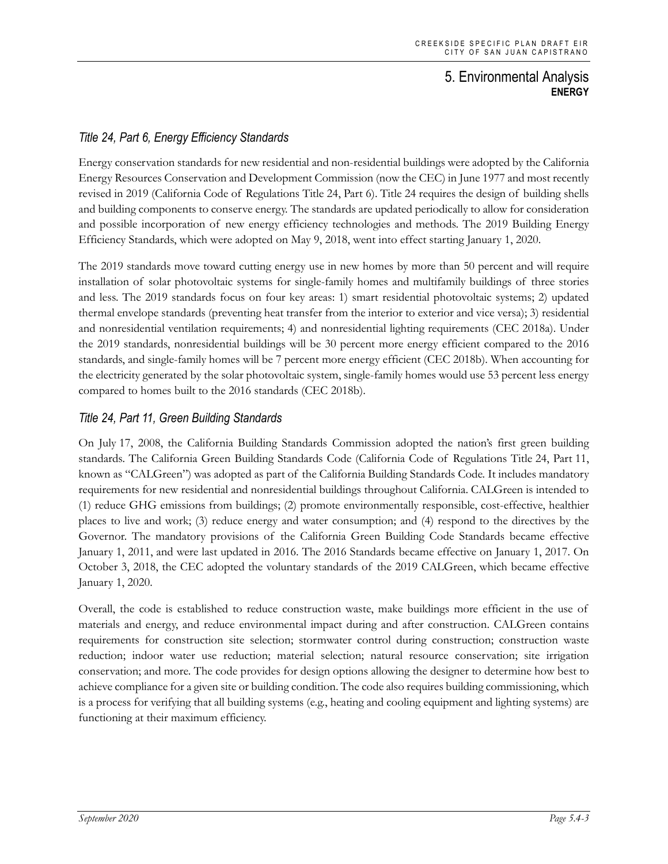# *Title 24, Part 6, Energy Efficiency Standards*

Energy conservation standards for new residential and non-residential buildings were adopted by the California Energy Resources Conservation and Development Commission (now the CEC) in June 1977 and most recently revised in 2019 (California Code of Regulations Title 24, Part 6). Title 24 requires the design of building shells and building components to conserve energy. The standards are updated periodically to allow for consideration and possible incorporation of new energy efficiency technologies and methods. The 2019 Building Energy Efficiency Standards, which were adopted on May 9, 2018, went into effect starting January 1, 2020.

The 2019 standards move toward cutting energy use in new homes by more than 50 percent and will require installation of solar photovoltaic systems for single-family homes and multifamily buildings of three stories and less. The 2019 standards focus on four key areas: 1) smart residential photovoltaic systems; 2) updated thermal envelope standards (preventing heat transfer from the interior to exterior and vice versa); 3) residential and nonresidential ventilation requirements; 4) and nonresidential lighting requirements (CEC 2018a). Under the 2019 standards, nonresidential buildings will be 30 percent more energy efficient compared to the 2016 standards, and single-family homes will be 7 percent more energy efficient (CEC 2018b). When accounting for the electricity generated by the solar photovoltaic system, single-family homes would use 53 percent less energy compared to homes built to the 2016 standards (CEC 2018b).

## *Title 24, Part 11, Green Building Standards*

On July 17, 2008, the California Building Standards Commission adopted the nation's first green building standards. The California Green Building Standards Code (California Code of Regulations Title 24, Part 11, known as "CALGreen") was adopted as part of the California Building Standards Code. It includes mandatory requirements for new residential and nonresidential buildings throughout California. CALGreen is intended to (1) reduce GHG emissions from buildings; (2) promote environmentally responsible, cost-effective, healthier places to live and work; (3) reduce energy and water consumption; and (4) respond to the directives by the Governor. The mandatory provisions of the California Green Building Code Standards became effective January 1, 2011, and were last updated in 2016. The 2016 Standards became effective on January 1, 2017. On October 3, 2018, the CEC adopted the voluntary standards of the 2019 CALGreen, which became effective January 1, 2020.

Overall, the code is established to reduce construction waste, make buildings more efficient in the use of materials and energy, and reduce environmental impact during and after construction. CALGreen contains requirements for construction site selection; stormwater control during construction; construction waste reduction; indoor water use reduction; material selection; natural resource conservation; site irrigation conservation; and more. The code provides for design options allowing the designer to determine how best to achieve compliance for a given site or building condition. The code also requires building commissioning, which is a process for verifying that all building systems (e.g., heating and cooling equipment and lighting systems) are functioning at their maximum efficiency.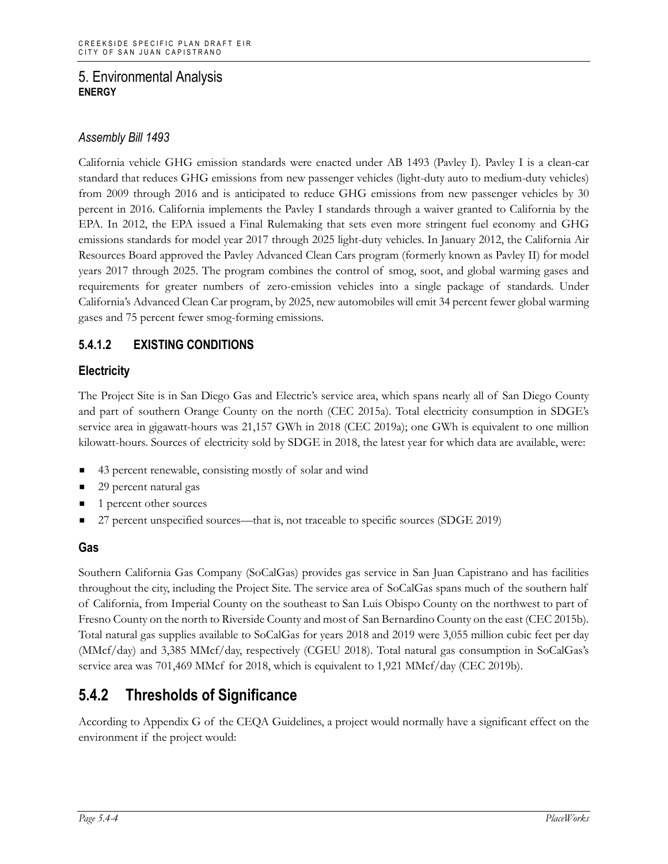## *Assembly Bill 1493*

California vehicle GHG emission standards were enacted under AB 1493 (Pavley I). Pavley I is a clean-car standard that reduces GHG emissions from new passenger vehicles (light-duty auto to medium-duty vehicles) from 2009 through 2016 and is anticipated to reduce GHG emissions from new passenger vehicles by 30 percent in 2016. California implements the Pavley I standards through a waiver granted to California by the EPA. In 2012, the EPA issued a Final Rulemaking that sets even more stringent fuel economy and GHG emissions standards for model year 2017 through 2025 light-duty vehicles. In January 2012, the California Air Resources Board approved the Pavley Advanced Clean Cars program (formerly known as Pavley II) for model years 2017 through 2025. The program combines the control of smog, soot, and global warming gases and requirements for greater numbers of zero-emission vehicles into a single package of standards. Under California's Advanced Clean Car program, by 2025, new automobiles will emit 34 percent fewer global warming gases and 75 percent fewer smog-forming emissions.

# **5.4.1.2 EXISTING CONDITIONS**

# **Electricity**

The Project Site is in San Diego Gas and Electric's service area, which spans nearly all of San Diego County and part of southern Orange County on the north (CEC 2015a). Total electricity consumption in SDGE's service area in gigawatt-hours was 21,157 GWh in 2018 (CEC 2019a); one GWh is equivalent to one million kilowatt-hours. Sources of electricity sold by SDGE in 2018, the latest year for which data are available, were:

- 43 percent renewable, consisting mostly of solar and wind
- 29 percent natural gas
- 1 percent other sources
- 27 percent unspecified sources—that is, not traceable to specific sources (SDGE 2019)

## **Gas**

Southern California Gas Company (SoCalGas) provides gas service in San Juan Capistrano and has facilities throughout the city, including the Project Site. The service area of SoCalGas spans much of the southern half of California, from Imperial County on the southeast to San Luis Obispo County on the northwest to part of Fresno County on the north to Riverside County and most of San Bernardino County on the east (CEC 2015b). Total natural gas supplies available to SoCalGas for years 2018 and 2019 were 3,055 million cubic feet per day (MMcf/day) and 3,385 MMcf/day, respectively (CGEU 2018). Total natural gas consumption in SoCalGas's service area was 701,469 MMcf for 2018, which is equivalent to 1,921 MMcf/day (CEC 2019b).

# **5.4.2 Thresholds of Significance**

According to Appendix G of the CEQA Guidelines, a project would normally have a significant effect on the environment if the project would: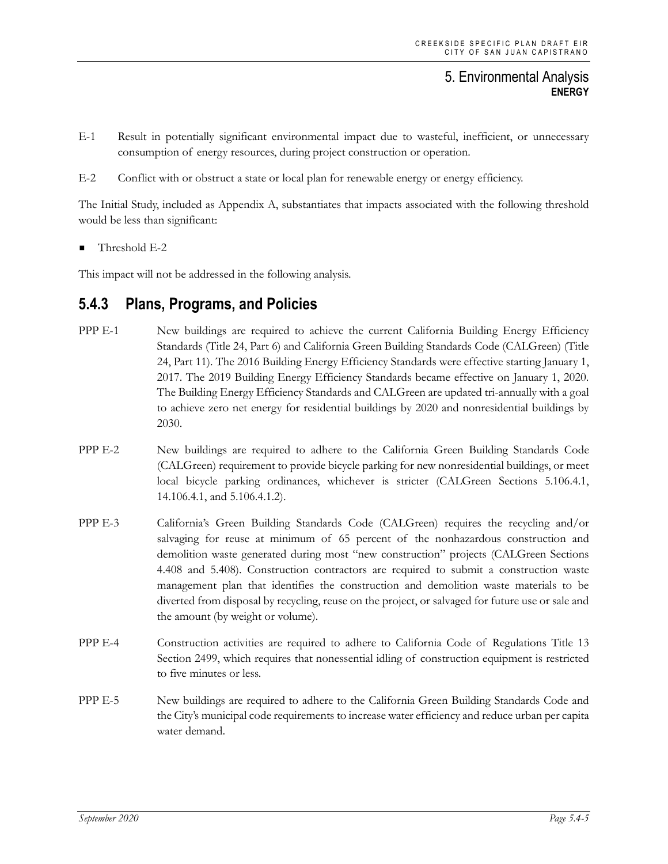- E-1 Result in potentially significant environmental impact due to wasteful, inefficient, or unnecessary consumption of energy resources, during project construction or operation.
- E-2 Conflict with or obstruct a state or local plan for renewable energy or energy efficiency.

The Initial Study, included as Appendix A, substantiates that impacts associated with the following threshold would be less than significant:

Threshold E-2

This impact will not be addressed in the following analysis.

# **5.4.3 Plans, Programs, and Policies**

- PPP E-1 New buildings are required to achieve the current California Building Energy Efficiency Standards (Title 24, Part 6) and California Green Building Standards Code (CALGreen) (Title 24, Part 11). The 2016 Building Energy Efficiency Standards were effective starting January 1, 2017. The 2019 Building Energy Efficiency Standards became effective on January 1, 2020. The Building Energy Efficiency Standards and CALGreen are updated tri-annually with a goal to achieve zero net energy for residential buildings by 2020 and nonresidential buildings by 2030.
- PPP E-2 New buildings are required to adhere to the California Green Building Standards Code (CALGreen) requirement to provide bicycle parking for new nonresidential buildings, or meet local bicycle parking ordinances, whichever is stricter (CALGreen Sections 5.106.4.1, 14.106.4.1, and 5.106.4.1.2).
- PPP E-3 California's Green Building Standards Code (CALGreen) requires the recycling and/or salvaging for reuse at minimum of 65 percent of the nonhazardous construction and demolition waste generated during most "new construction" projects (CALGreen Sections 4.408 and 5.408). Construction contractors are required to submit a construction waste management plan that identifies the construction and demolition waste materials to be diverted from disposal by recycling, reuse on the project, or salvaged for future use or sale and the amount (by weight or volume).
- PPP E-4 Construction activities are required to adhere to California Code of Regulations Title 13 Section 2499, which requires that nonessential idling of construction equipment is restricted to five minutes or less.
- PPP E-5 New buildings are required to adhere to the California Green Building Standards Code and the City's municipal code requirements to increase water efficiency and reduce urban per capita water demand.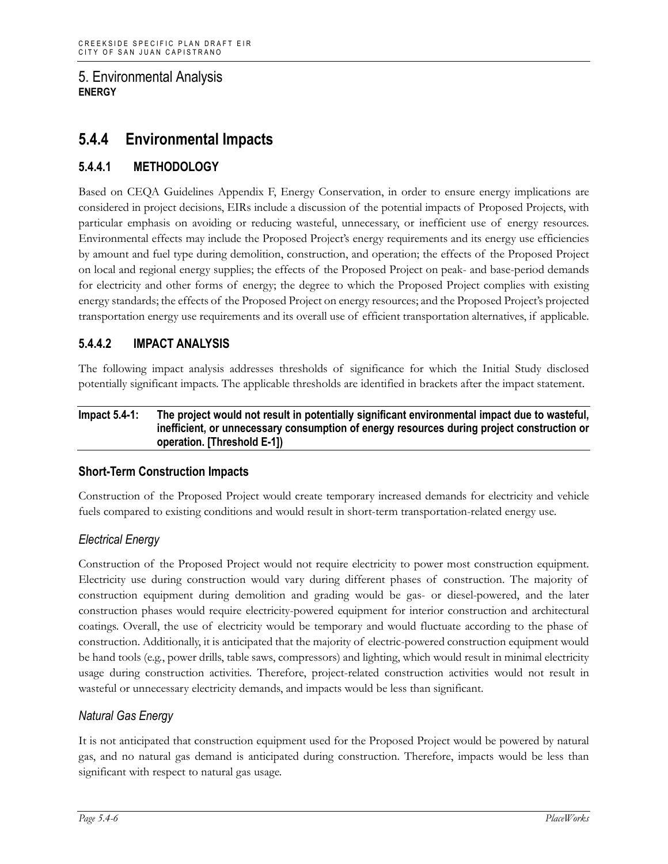# **5.4.4 Environmental Impacts**

# **5.4.4.1 METHODOLOGY**

Based on CEQA Guidelines Appendix F, Energy Conservation, in order to ensure energy implications are considered in project decisions, EIRs include a discussion of the potential impacts of Proposed Projects, with particular emphasis on avoiding or reducing wasteful, unnecessary, or inefficient use of energy resources. Environmental effects may include the Proposed Project's energy requirements and its energy use efficiencies by amount and fuel type during demolition, construction, and operation; the effects of the Proposed Project on local and regional energy supplies; the effects of the Proposed Project on peak- and base-period demands for electricity and other forms of energy; the degree to which the Proposed Project complies with existing energy standards; the effects of the Proposed Project on energy resources; and the Proposed Project's projected transportation energy use requirements and its overall use of efficient transportation alternatives, if applicable.

# **5.4.4.2 IMPACT ANALYSIS**

The following impact analysis addresses thresholds of significance for which the Initial Study disclosed potentially significant impacts. The applicable thresholds are identified in brackets after the impact statement.

#### **Impact 5.4-1: The project would not result in potentially significant environmental impact due to wasteful, inefficient, or unnecessary consumption of energy resources during project construction or operation. [Threshold E-1])**

## **Short-Term Construction Impacts**

Construction of the Proposed Project would create temporary increased demands for electricity and vehicle fuels compared to existing conditions and would result in short-term transportation-related energy use.

# *Electrical Energy*

Construction of the Proposed Project would not require electricity to power most construction equipment. Electricity use during construction would vary during different phases of construction. The majority of construction equipment during demolition and grading would be gas- or diesel-powered, and the later construction phases would require electricity-powered equipment for interior construction and architectural coatings. Overall, the use of electricity would be temporary and would fluctuate according to the phase of construction. Additionally, it is anticipated that the majority of electric-powered construction equipment would be hand tools (e.g., power drills, table saws, compressors) and lighting, which would result in minimal electricity usage during construction activities. Therefore, project-related construction activities would not result in wasteful or unnecessary electricity demands, and impacts would be less than significant.

## *Natural Gas Energy*

It is not anticipated that construction equipment used for the Proposed Project would be powered by natural gas, and no natural gas demand is anticipated during construction. Therefore, impacts would be less than significant with respect to natural gas usage.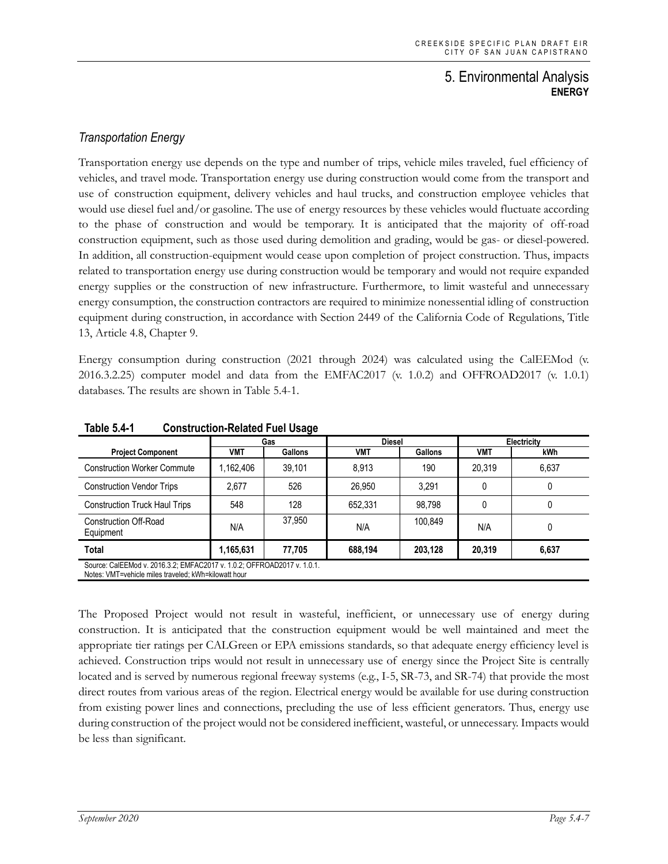# *Transportation Energy*

Transportation energy use depends on the type and number of trips, vehicle miles traveled, fuel efficiency of vehicles, and travel mode. Transportation energy use during construction would come from the transport and use of construction equipment, delivery vehicles and haul trucks, and construction employee vehicles that would use diesel fuel and/or gasoline. The use of energy resources by these vehicles would fluctuate according to the phase of construction and would be temporary. It is anticipated that the majority of off-road construction equipment, such as those used during demolition and grading, would be gas- or diesel-powered. In addition, all construction-equipment would cease upon completion of project construction. Thus, impacts related to transportation energy use during construction would be temporary and would not require expanded energy supplies or the construction of new infrastructure. Furthermore, to limit wasteful and unnecessary energy consumption, the construction contractors are required to minimize nonessential idling of construction equipment during construction, in accordance with Section 2449 of the California Code of Regulations, Title 13, Article 4.8, Chapter 9.

Energy consumption during construction (2021 through 2024) was calculated using the CalEEMod (v. 2016.3.2.25) computer model and data from the EMFAC2017 (v. 1.0.2) and OFFROAD2017 (v. 1.0.1) databases. The results are shown in Table 5.4-1.

|                                                                                                                                 | Gas       |                | <b>Diesel</b> |                | Electricity |       |  |
|---------------------------------------------------------------------------------------------------------------------------------|-----------|----------------|---------------|----------------|-------------|-------|--|
| <b>Project Component</b>                                                                                                        | VMT       | <b>Gallons</b> | <b>VMT</b>    | <b>Gallons</b> | VMT         | kWh   |  |
| <b>Construction Worker Commute</b>                                                                                              | 1,162,406 | 39,101         | 8.913         | 190            | 20.319      | 6,637 |  |
| <b>Construction Vendor Trips</b>                                                                                                | 2.677     | 526            | 26.950        | 3.291          |             |       |  |
| <b>Construction Truck Haul Trips</b>                                                                                            | 548       | 128            | 652,331       | 98,798         |             |       |  |
| <b>Construction Off-Road</b><br>Equipment                                                                                       | N/A       | 37.950         | N/A           | 100,849        | N/A         |       |  |
| Total                                                                                                                           | 1,165,631 | 77.705         | 688.194       | 203.128        | 20,319      | 6,637 |  |
| Source: CalEEMod v. 2016.3.2; EMFAC2017 v. 1.0.2; OFFROAD2017 v. 1.0.1.<br>Notes: VMT=vehicle miles traveled: kWh=kilowatt hour |           |                |               |                |             |       |  |

**Table 5.4-1 Construction-Related Fuel Usage**

The Proposed Project would not result in wasteful, inefficient, or unnecessary use of energy during construction. It is anticipated that the construction equipment would be well maintained and meet the appropriate tier ratings per CALGreen or EPA emissions standards, so that adequate energy efficiency level is achieved. Construction trips would not result in unnecessary use of energy since the Project Site is centrally located and is served by numerous regional freeway systems (e.g., I-5, SR-73, and SR-74) that provide the most direct routes from various areas of the region. Electrical energy would be available for use during construction from existing power lines and connections, precluding the use of less efficient generators. Thus, energy use during construction of the project would not be considered inefficient, wasteful, or unnecessary. Impacts would be less than significant.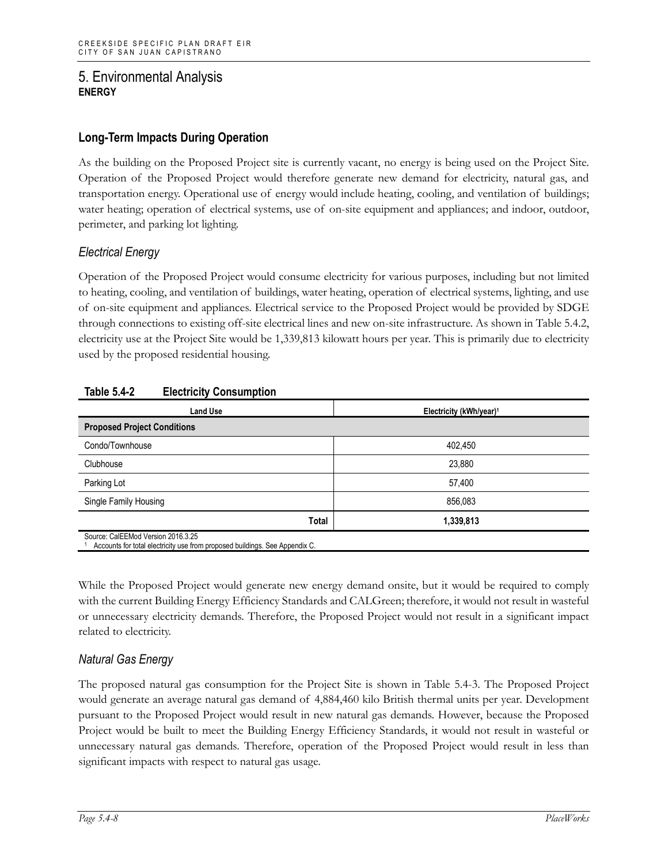## **Long-Term Impacts During Operation**

As the building on the Proposed Project site is currently vacant, no energy is being used on the Project Site. Operation of the Proposed Project would therefore generate new demand for electricity, natural gas, and transportation energy. Operational use of energy would include heating, cooling, and ventilation of buildings; water heating; operation of electrical systems, use of on-site equipment and appliances; and indoor, outdoor, perimeter, and parking lot lighting.

## *Electrical Energy*

Operation of the Proposed Project would consume electricity for various purposes, including but not limited to heating, cooling, and ventilation of buildings, water heating, operation of electrical systems, lighting, and use of on-site equipment and appliances. Electrical service to the Proposed Project would be provided by SDGE through connections to existing off-site electrical lines and new on-site infrastructure. As shown in Table 5.4.2, electricity use at the Project Site would be 1,339,813 kilowatt hours per year. This is primarily due to electricity used by the proposed residential housing.

| <b>Land Use</b>                                                                                                   | Electricity (kWh/year) <sup>1</sup> |  |  |  |
|-------------------------------------------------------------------------------------------------------------------|-------------------------------------|--|--|--|
| <b>Proposed Project Conditions</b>                                                                                |                                     |  |  |  |
| Condo/Townhouse                                                                                                   | 402,450                             |  |  |  |
| Clubhouse                                                                                                         | 23,880                              |  |  |  |
| Parking Lot                                                                                                       | 57,400                              |  |  |  |
| Single Family Housing                                                                                             | 856,083                             |  |  |  |
| Total                                                                                                             | 1,339,813                           |  |  |  |
| Source: CalEEMod Version 2016.3.25<br>Accounts for total electricity use from proposed buildings. See Appendix C. |                                     |  |  |  |

## **Table 5.4-2 Electricity Consumption**

While the Proposed Project would generate new energy demand onsite, but it would be required to comply with the current Building Energy Efficiency Standards and CALGreen; therefore, it would not result in wasteful or unnecessary electricity demands. Therefore, the Proposed Project would not result in a significant impact related to electricity.

# *Natural Gas Energy*

The proposed natural gas consumption for the Project Site is shown in Table 5.4-3. The Proposed Project would generate an average natural gas demand of 4,884,460 kilo British thermal units per year. Development pursuant to the Proposed Project would result in new natural gas demands. However, because the Proposed Project would be built to meet the Building Energy Efficiency Standards, it would not result in wasteful or unnecessary natural gas demands. Therefore, operation of the Proposed Project would result in less than significant impacts with respect to natural gas usage.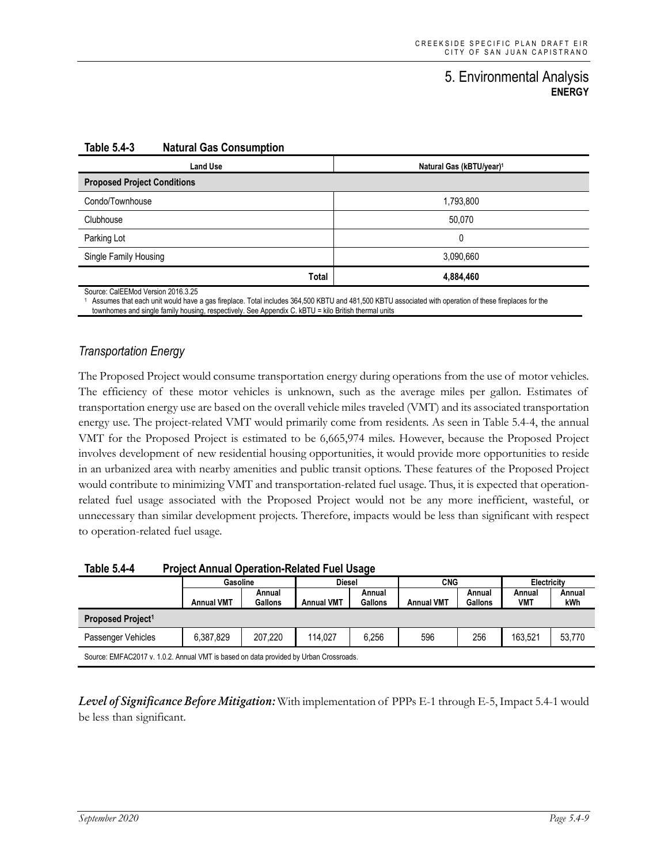| <b>Land Use</b>                    | Natural Gas (kBTU/year) <sup>1</sup> |  |  |  |
|------------------------------------|--------------------------------------|--|--|--|
| <b>Proposed Project Conditions</b> |                                      |  |  |  |
| Condo/Townhouse                    | 1,793,800                            |  |  |  |
| Clubhouse                          | 50,070                               |  |  |  |
| Parking Lot                        | 0                                    |  |  |  |
| Single Family Housing              | 3,090,660                            |  |  |  |
| Total                              | 4,884,460                            |  |  |  |

#### **Table 5.4-3 Natural Gas Consumption**

Source: CalEEMod Version 2016.3.25

<sup>1</sup> Assumes that each unit would have a gas fireplace. Total includes 364,500 KBTU and 481,500 KBTU associated with operation of these fireplaces for the townhomes and single family housing, respectively. See Appendix C. kBTU = kilo British thermal units

### *Transportation Energy*

The Proposed Project would consume transportation energy during operations from the use of motor vehicles. The efficiency of these motor vehicles is unknown, such as the average miles per gallon. Estimates of transportation energy use are based on the overall vehicle miles traveled (VMT) and its associated transportation energy use. The project-related VMT would primarily come from residents. As seen in Table 5.4-4, the annual VMT for the Proposed Project is estimated to be 6,665,974 miles. However, because the Proposed Project involves development of new residential housing opportunities, it would provide more opportunities to reside in an urbanized area with nearby amenities and public transit options. These features of the Proposed Project would contribute to minimizing VMT and transportation-related fuel usage. Thus, it is expected that operationrelated fuel usage associated with the Proposed Project would not be any more inefficient, wasteful, or unnecessary than similar development projects. Therefore, impacts would be less than significant with respect to operation-related fuel usage.

| Table 5.4-4                   |                   | <b>Project Annual Operation-Related Fuel Usage</b> |                   |                          |                   |                   |               |               |  |  |
|-------------------------------|-------------------|----------------------------------------------------|-------------------|--------------------------|-------------------|-------------------|---------------|---------------|--|--|
|                               |                   | Gasoline                                           |                   | <b>Diesel</b>            |                   | <b>CNG</b>        |               | Electricity   |  |  |
|                               | <b>Annual VMT</b> | Annual<br><b>Gallons</b>                           | <b>Annual VMT</b> | Annual<br><b>Gallons</b> | <b>Annual VMT</b> | Annual<br>Gallons | Annual<br>VMT | Annual<br>kWh |  |  |
| Proposed Project <sup>1</sup> |                   |                                                    |                   |                          |                   |                   |               |               |  |  |
| Passenger Vehicles            | 6.387.829         | 207.220                                            | 114.027           | 6.256                    | 596               | 256               | 163.521       | 53,770        |  |  |
|                               |                   |                                                    |                   |                          |                   |                   |               |               |  |  |

Source: EMFAC2017 v. 1.0.2. Annual VMT is based on data provided by Urban Crossroads.

*Level of Significance Before Mitigation:* With implementation of PPPs E-1 through E-5, Impact 5.4-1 would be less than significant.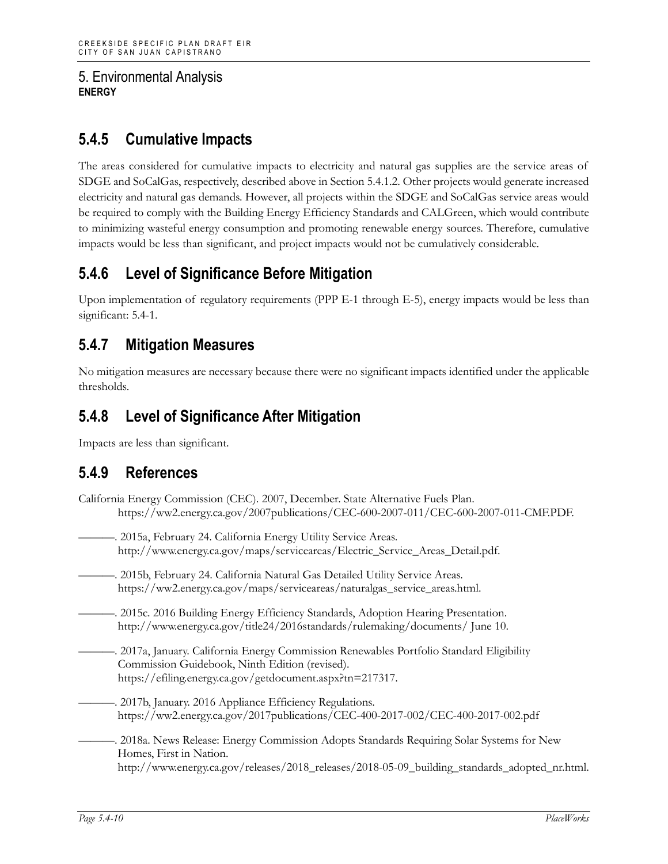# **5.4.5 Cumulative Impacts**

The areas considered for cumulative impacts to electricity and natural gas supplies are the service areas of SDGE and SoCalGas, respectively, described above in Section 5.4.1.2. Other projects would generate increased electricity and natural gas demands. However, all projects within the SDGE and SoCalGas service areas would be required to comply with the Building Energy Efficiency Standards and CALGreen, which would contribute to minimizing wasteful energy consumption and promoting renewable energy sources. Therefore, cumulative impacts would be less than significant, and project impacts would not be cumulatively considerable.

# **5.4.6 Level of Significance Before Mitigation**

Upon implementation of regulatory requirements (PPP E-1 through E-5), energy impacts would be less than significant: 5.4-1.

# **5.4.7 Mitigation Measures**

No mitigation measures are necessary because there were no significant impacts identified under the applicable thresholds.

# **5.4.8 Level of Significance After Mitigation**

Impacts are less than significant.

# **5.4.9 References**

- California Energy Commission (CEC). 2007, December. State Alternative Fuels Plan. https://ww2.energy.ca.gov/2007publications/CEC-600-2007-011/CEC-600-2007-011-CMF.PDF.
	- -. 2015a, February 24. California Energy Utility Service Areas. http://www.energy.ca.gov/maps/serviceareas/Electric\_Service\_Areas\_Detail.pdf.
- ———. 2015b, February 24. California Natural Gas Detailed Utility Service Areas. https://ww2.energy.ca.gov/maps/serviceareas/naturalgas\_service\_areas.html.
- ———. 2015c. 2016 Building Energy Efficiency Standards, Adoption Hearing Presentation. http://www.energy.ca.gov/title24/2016standards/rulemaking/documents/ June 10.
	- ———. 2017a, January. California Energy Commission Renewables Portfolio Standard Eligibility Commission Guidebook, Ninth Edition (revised). https://efiling.energy.ca.gov/getdocument.aspx?tn=217317.
- -. 2017b, January. 2016 Appliance Efficiency Regulations. https://ww2.energy.ca.gov/2017publications/CEC-400-2017-002/CEC-400-2017-002.pdf
	- ———. 2018a. News Release: Energy Commission Adopts Standards Requiring Solar Systems for New Homes, First in Nation. http://www.energy.ca.gov/releases/2018\_releases/2018-05-09\_building\_standards\_adopted\_nr.html.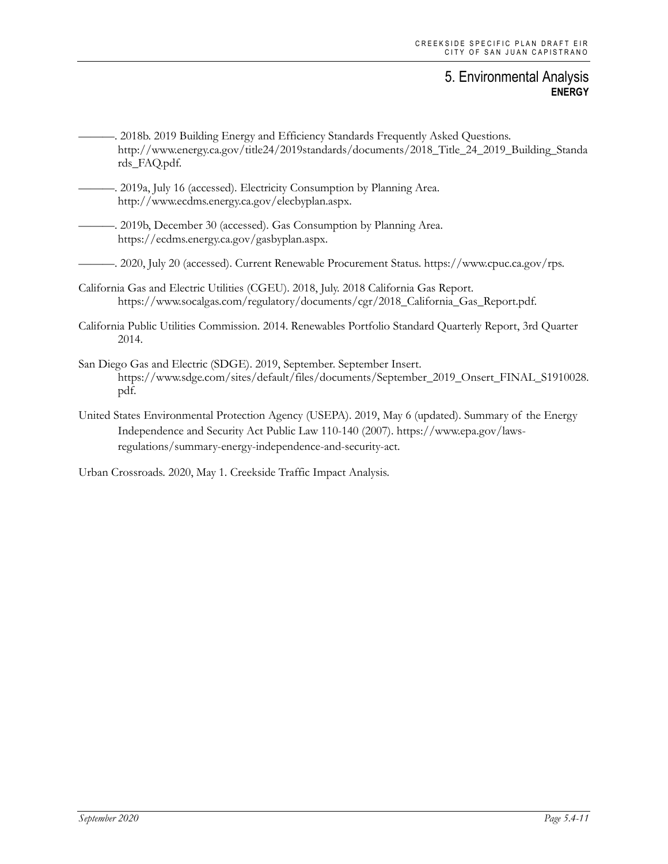. 2018b. 2019 Building Energy and Efficiency Standards Frequently Asked Questions. http://www.energy.ca.gov/title24/2019standards/documents/2018\_Title\_24\_2019\_Building\_Standa rds\_FAQ.pdf.

- -. 2019a, July 16 (accessed). Electricity Consumption by Planning Area. http://www.ecdms.energy.ca.gov/elecbyplan.aspx.
- ———. 2019b, December 30 (accessed). Gas Consumption by Planning Area. https://ecdms.energy.ca.gov/gasbyplan.aspx.

———. 2020, July 20 (accessed). Current Renewable Procurement Status. https://www.cpuc.ca.gov/rps.

- California Gas and Electric Utilities (CGEU). 2018, July. 2018 California Gas Report. https://www.socalgas.com/regulatory/documents/cgr/2018\_California\_Gas\_Report.pdf.
- California Public Utilities Commission. 2014. Renewables Portfolio Standard Quarterly Report, 3rd Quarter 2014.
- San Diego Gas and Electric (SDGE). 2019, September. September Insert. https://www.sdge.com/sites/default/files/documents/September\_2019\_Onsert\_FINAL\_S1910028. pdf.
- United States Environmental Protection Agency (USEPA). 2019, May 6 (updated). Summary of the Energy Independence and Security Act Public Law 110-140 (2007). https://www.epa.gov/lawsregulations/summary-energy-independence-and-security-act.

Urban Crossroads. 2020, May 1. Creekside Traffic Impact Analysis.